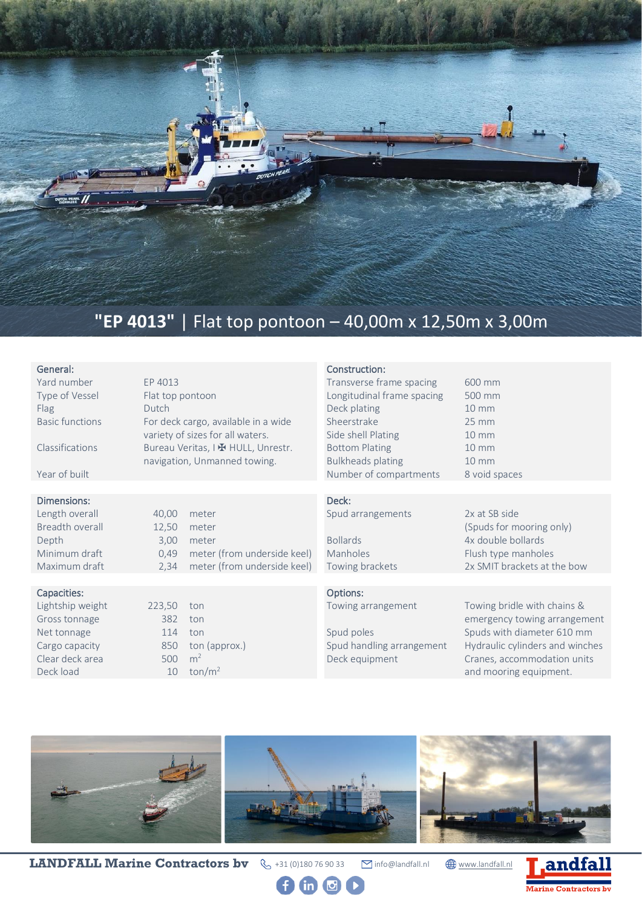

## **"EP 4013"** | Flat top pontoon – 40,00m x 12,50m x 3,00m

| General:               |                                     |                             | Construction:              |                                 |
|------------------------|-------------------------------------|-----------------------------|----------------------------|---------------------------------|
| Yard number            | EP 4013                             |                             | Transverse frame spacing   | 600 mm                          |
| Type of Vessel         | Flat top pontoon                    |                             | Longitudinal frame spacing | 500 mm                          |
| Flag                   | Dutch                               |                             | Deck plating               | $10 \text{ mm}$                 |
| <b>Basic functions</b> | For deck cargo, available in a wide |                             | Sheerstrake                | 25 mm                           |
|                        | variety of sizes for all waters.    |                             | Side shell Plating         | $10 \text{ mm}$                 |
| Classifications        | Bureau Veritas, I H HULL, Unrestr.  |                             | <b>Bottom Plating</b>      | $10 \text{ mm}$                 |
|                        | navigation, Unmanned towing.        |                             | <b>Bulkheads plating</b>   | $10 \text{ mm}$                 |
| Year of built          |                                     |                             | Number of compartments     | 8 void spaces                   |
|                        |                                     |                             |                            |                                 |
| Dimensions:            |                                     |                             | Deck:                      |                                 |
| Length overall         | 40,00                               | meter                       | Spud arrangements          | 2x at SB side                   |
| Breadth overall        | 12,50                               | meter                       |                            | (Spuds for mooring only)        |
| Depth                  | 3,00                                | meter                       | <b>Bollards</b>            | 4x double bollards              |
| Minimum draft          | 0,49                                | meter (from underside keel) | Manholes                   | Flush type manholes             |
| Maximum draft          | 2,34                                | meter (from underside keel) | Towing brackets            | 2x SMIT brackets at the bow     |
|                        |                                     |                             |                            |                                 |
| Capacities:            |                                     |                             | Options:                   |                                 |
| Lightship weight       | 223,50                              | ton                         | Towing arrangement         | Towing bridle with chains &     |
| Gross tonnage          | 382                                 | ton                         |                            | emergency towing arrangement    |
| Net tonnage            | 114                                 | ton                         | Spud poles                 | Spuds with diameter 610 mm      |
| Cargo capacity         | 850                                 | ton (approx.)               | Spud handling arrangement  | Hydraulic cylinders and winches |
| Clear deck area        | 500                                 | m <sup>2</sup>              | Deck equipment             | Cranes, accommodation units     |
| Deck load              | 10                                  | $\text{ton/m}^2$            |                            | and mooring equipment.          |
|                        |                                     |                             |                            |                                 |



 $0 0 0 0$ 

**LANDFALL Marine Contractors bv**  $\leftarrow$  +31 (0)180 76 90 33 **info@landfall.nl**  $\bigoplus$  [www.landfall.nl](http://www.landfall.nl/)